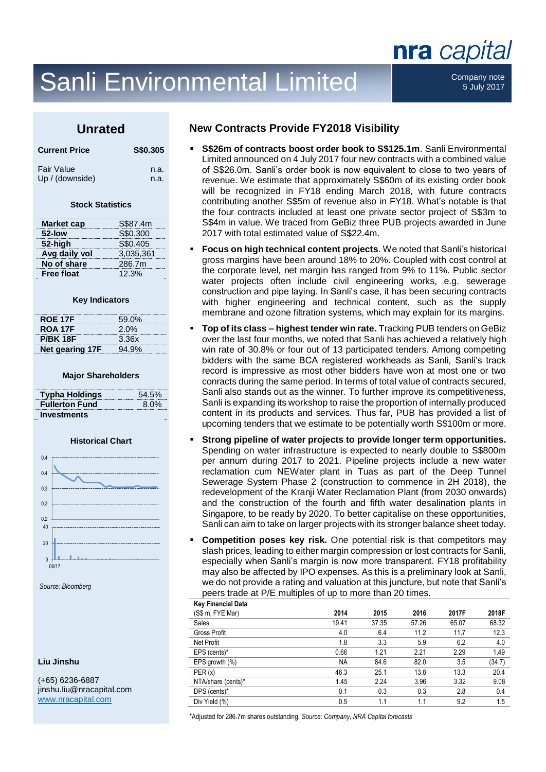# Sanli Environmental Limited Company note

5 July 2017

nra capital

### **Unrated**

| <b>Current Price</b> | S\$0.305 |
|----------------------|----------|
| <b>Fair Value</b>    | n.a.     |
| Up / (downside)      | n.a.     |

#### **Stock Statistics**

| <b>Market cap</b> | S\$87.4m  |
|-------------------|-----------|
| 52-low            | S\$0.300  |
| 52-high           | S\$0.405  |
| Avg daily vol     | 3,035,361 |
| No of share       | 286.7m    |
| <b>Free float</b> | 12.3%     |

#### **Key Indicators**

| <b>ROE 17F</b>  | 59.0%   |
|-----------------|---------|
| <b>ROA 17F</b>  | $2.0\%$ |
| <b>P/BK 18F</b> | 3.36x   |
| Net gearing 17F | 94.9%   |

#### **Major Shareholders**

| <b>Typha Holdings</b> | 54.5%   |
|-----------------------|---------|
| <b>Fullerton Fund</b> | $8.0\%$ |
| <b>Investments</b>    |         |

#### **Historical Chart**



*Source: Bloomberg*

#### **Liu Jinshu**

(+65) 6236-6887 jinshu.liu@nracapital.com [www.nracapital.com](http://www.nracapital.com/)

### **New Contracts Provide FY2018 Visibility**

- **S\$26m of contracts boost order book to S\$125.1m.** Sanli Environmental Limited announced on 4 July 2017 four new contracts with a combined value of S\$26.0m. Sanli's order book is now equivalent to close to two years of revenue. We estimate that approximately S\$60m of its existing order book will be recognized in FY18 ending March 2018, with future contracts contributing another S\$5m of revenue also in FY18. What's notable is that the four contracts included at least one private sector project of S\$3m to S\$4m in value. We traced from GeBiz three PUB projects awarded in June 2017 with total estimated value of S\$22.4m.
- **Focus on high technical content projects**. We noted that Sanli's historical gross margins have been around 18% to 20%. Coupled with cost control at the corporate level, net margin has ranged from 9% to 11%. Public sector water projects often include civil engineering works, e.g. sewerage construction and pipe laying. In Sanli's case, it has been securing contracts with higher engineering and technical content, such as the supply membrane and ozone filtration systems, which may explain for its margins.
- **Top of its class – highest tender win rate.** Tracking PUB tenders on GeBiz over the last four months, we noted that Sanli has achieved a relatively high win rate of 30.8% or four out of 13 participated tenders. Among competing bidders with the same BCA registered workheads as Sanli, Sanli's track record is impressive as most other bidders have won at most one or two conracts during the same period. In terms of total value of contracts secured, Sanli also stands out as the winner. To further improve its competitiveness, Sanli is expanding its workshop to raise the proportion of internally produced content in its products and services. Thus far, PUB has provided a list of upcoming tenders that we estimate to be potentially worth S\$100m or more.
- **Strong pipeline of water projects to provide longer term opportunities.**  Spending on water infrastructure is expected to nearly double to S\$800m per annum during 2017 to 2021. Pipeline projects include a new water reclamation cum NEWater plant in Tuas as part of the Deep Tunnel Sewerage System Phase 2 (construction to commence in 2H 2018), the redevelopment of the Kranji Water Reclamation Plant (from 2030 onwards) and the construction of the fourth and fifth water desalination plants in Singapore, to be ready by 2020. To better capitalise on these opportunities, Sanli can aim to take on larger projects with its stronger balance sheet today.
- **Competition poses key risk.** One potential risk is that competitors may slash prices, leading to either margin compression or lost contracts for Sanli, especially when Sanli's margin is now more transparent. FY18 profitability may also be affected by IPO expenses. As this is a preliminary look at Sanli, we do not provide a rating and valuation at this juncture, but note that Sanli's peers trade at P/E multiples of up to more than 20 times. Key Financial Data

| 2014      | 2015  | 2016  | 2017F | 2018F  |
|-----------|-------|-------|-------|--------|
| 19.41     | 37.35 | 57.26 | 65.07 | 68.32  |
| 4.0       | 6.4   | 11.2  | 11.7  | 12.3   |
| 1.8       | 3.3   | 5.9   | 6.2   | 4.0    |
| 0.66      | 1.21  | 2.21  | 2.29  | 1.49   |
| <b>NA</b> | 84.6  | 82.0  | 3.5   | (34.7) |
| 46.3      | 25.1  | 13.8  | 13.3  | 20.4   |
| 1.45      | 2.24  | 3.96  | 3.32  | 9.08   |
| 0.1       | 0.3   | 0.3   | 2.8   | 0.4    |
| 0.5       | 1.1   | 1.1   | 9.2   | 1.5    |
|           |       |       |       |        |

\*Adjusted for 286.7m shares outstanding. *Source: Company, NRA Capital forecasts*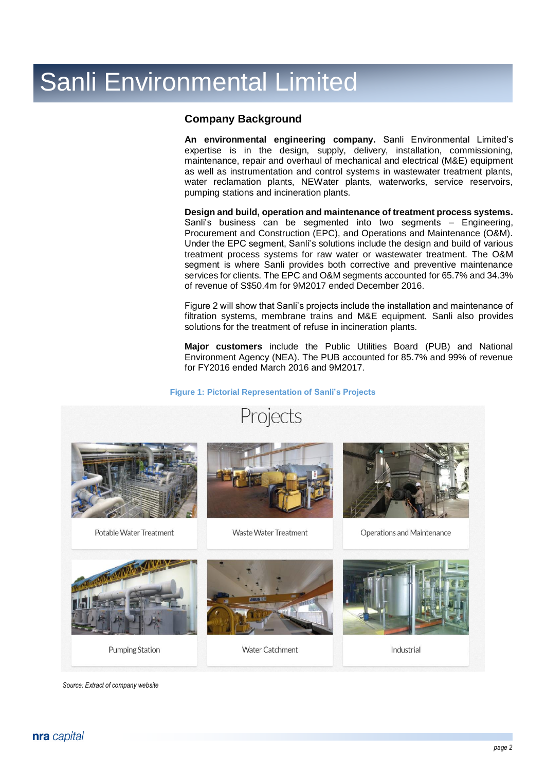### **Company Background**

**An environmental engineering company.** Sanli Environmental Limited's expertise is in the design, supply, delivery, installation, commissioning, maintenance, repair and overhaul of mechanical and electrical (M&E) equipment as well as instrumentation and control systems in wastewater treatment plants, water reclamation plants, NEWater plants, waterworks, service reservoirs, pumping stations and incineration plants.

**Design and build, operation and maintenance of treatment process systems.** Sanli's business can be segmented into two segments – Engineering, Procurement and Construction (EPC), and Operations and Maintenance (O&M). Under the EPC segment, Sanli's solutions include the design and build of various treatment process systems for raw water or wastewater treatment. The O&M segment is where Sanli provides both corrective and preventive maintenance services for clients. The EPC and O&M segments accounted for 65.7% and 34.3% of revenue of S\$50.4m for 9M2017 ended December 2016.

Figure 2 will show that Sanli's projects include the installation and maintenance of filtration systems, membrane trains and M&E equipment. Sanli also provides solutions for the treatment of refuse in incineration plants.

**Major customers** include the Public Utilities Board (PUB) and National Environment Agency (NEA). The PUB accounted for 85.7% and 99% of revenue for FY2016 ended March 2016 and 9M2017.

#### **Figure 1: Pictorial Representation of Sanli's Projects**



*Source: Extract of company website*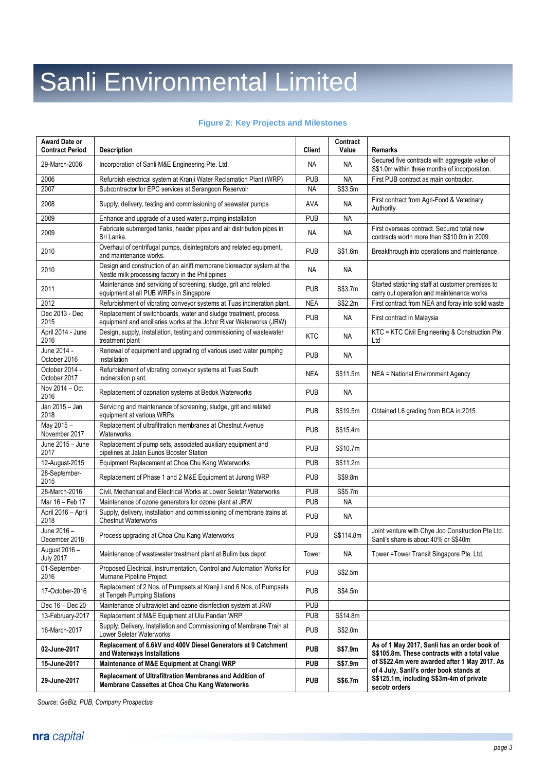#### **Figure 2: Key Projects and Milestones**

| Award Date or<br><b>Contract Period</b> | <b>Description</b>                                                                                                                      | <b>Client</b> | Contract<br>Value | <b>Remarks</b>                                                                                       |
|-----------------------------------------|-----------------------------------------------------------------------------------------------------------------------------------------|---------------|-------------------|------------------------------------------------------------------------------------------------------|
| 29-March-2006                           | Incorporation of Sanli M&E Engineering Pte. Ltd.                                                                                        | NA            | ΝA                | Secured five contracts with aggregate value of<br>S\$1.0m within three months of incorporation.      |
| 2006                                    | Refurbish electrical system at Kranji Water Reclamation Plant (WRP)                                                                     | <b>PUB</b>    | <b>NA</b>         | First PUB contract as main contractor.                                                               |
| 2007                                    | Subcontractor for EPC services at Serangoon Reservoir                                                                                   | <b>NA</b>     | S\$3.5m           |                                                                                                      |
| 2008                                    | Supply, delivery, testing and commissioning of seawater pumps                                                                           | <b>AVA</b>    | <b>NA</b>         | First contract from Agri-Food & Veterinary<br>Authority                                              |
| 2009                                    | Enhance and upgrade of a used water pumping installation                                                                                | <b>PUB</b>    | <b>NA</b>         |                                                                                                      |
| 2009                                    | Fabricate submerged tanks, header pipes and air distribution pipes in<br>Sri Lanka.                                                     | <b>NA</b>     | <b>NA</b>         | First overseas contract. Secured total new<br>contracts worth more than S\$10.0m in 2009.            |
| 2010                                    | Overhaul of centrifugal pumps, disintegrators and related equipment,<br>and maintenance works.                                          | <b>PUB</b>    | S\$1.6m           | Breakthrough into operations and maintenance.                                                        |
| 2010                                    | Design and construction of an airlift membrane bioreactor system at the<br>Nestle milk processing factory in the Philippines            | <b>NA</b>     | <b>NA</b>         |                                                                                                      |
| 2011                                    | Maintenance and servicing of screening, sludge, grit and related<br>equipment at all PUB WRPs in Singapore                              | <b>PUB</b>    | S\$3.7m           | Started stationing staff at customer premises to<br>carry out operation and maintenance works        |
| 2012                                    | Refurbishment of vibrating conveyor systems at Tuas incineration plant.                                                                 | <b>NEA</b>    | S\$2.2m           | First contract from NEA and foray into solid waste                                                   |
| Dec 2013 - Dec<br>2015                  | Replacement of switchboards, water and sludge treatment, process<br>equipment and ancillaries works at the Johor River Waterworks (JRW) | <b>PUB</b>    | ΝA                | First contract in Malaysia                                                                           |
| April 2014 - June<br>2016               | Design, supply, installation, testing and commissioning of wastewater<br>treatment plant                                                | <b>KTC</b>    | <b>NA</b>         | KTC = KTC Civil Engineering & Construction Pte<br>Ltd                                                |
| June 2014 -<br>October 2016             | Renewal of equipment and upgrading of various used water pumping<br>installation                                                        | <b>PUB</b>    | <b>NA</b>         |                                                                                                      |
| October 2014 -<br>October 2017          | Refurbishment of vibrating conveyor systems at Tuas South<br>incineration plant.                                                        | <b>NEA</b>    | S\$11.5m          | NEA = National Environment Agency                                                                    |
| Nov 2014 - Oct<br>2016                  | Replacement of ozonation systems at Bedok Waterworks                                                                                    | <b>PUB</b>    | <b>NA</b>         |                                                                                                      |
| Jan 2015 - Jan<br>2018                  | Servicing and maintenance of screening, sludge, grit and related<br>equipment at various WRPs                                           | <b>PUB</b>    | S\$19.5m          | Obtained L6 grading from BCA in 2015                                                                 |
| May 2015 -<br>November 2017             | Replacement of ultrafiltration membranes at Chestnut Avenue<br>Waterworks.                                                              | <b>PUB</b>    | S\$15.4m          |                                                                                                      |
| June 2015 - June<br>2017                | Replacement of pump sets, associated auxiliary equipment and<br>pipelines at Jalan Eunos Booster Station                                | <b>PUB</b>    | S\$10.7m          |                                                                                                      |
| 12-August-2015                          | Equipment Replacement at Choa Chu Kang Waterworks                                                                                       | <b>PUB</b>    | S\$11.2m          |                                                                                                      |
| 28-September-<br>2015                   | Replacement of Phase 1 and 2 M&E Equipment at Jurong WRP                                                                                | <b>PUB</b>    | S\$9.8m           |                                                                                                      |
| 28-March-2016                           | Civil, Mechanical and Electrical Works at Lower Seletar Waterworks                                                                      | <b>PUB</b>    | S\$5.7m           |                                                                                                      |
| Mar 16 - Feb 17                         | Maintenance of ozone generators for ozone plant at JRW                                                                                  | <b>PUB</b>    | <b>NA</b>         |                                                                                                      |
| April 2016 - April<br>2018              | Supply, delivery, installation and commissioning of membrane trains at<br><b>Chestnut Waterworks</b>                                    | <b>PUB</b>    | ΝA                |                                                                                                      |
| June 2016-<br>December 2018             | Process upgrading at Choa Chu Kang Waterworks                                                                                           | <b>PUB</b>    | S\$114.8m         | Joint venture with Chye Joo Construction Pte Ltd.<br>Sanli's share is about 40% or S\$40m            |
| August 2016 -<br><b>July 2017</b>       | Maintenance of wastewater treatment plant at Bulim bus depot                                                                            | Tower         | <b>NA</b>         | Tower = Tower Transit Singapore Pte. Ltd.                                                            |
| 01-September-<br>2016                   | Proposed Electrical, Instrumentation, Control and Automation Works for<br>Murnane Pipeline Project                                      | <b>PUB</b>    | S\$2.5m           |                                                                                                      |
| 17-October-2016                         | Replacement of 2 Nos. of Pumpsets at Kranji I and 6 Nos. of Pumpsets<br>at Tengeh Pumping Stations                                      | <b>PUB</b>    | S\$4.5m           |                                                                                                      |
| Dec 16 - Dec 20                         | Maintenance of ultraviolet and ozone disinfection system at JRW                                                                         | <b>PUB</b>    |                   |                                                                                                      |
| 13-February-2017                        | Replacement of M&E Equipment at Ulu Pandan WRP                                                                                          | <b>PUB</b>    | S\$14.8m          |                                                                                                      |
| 16-March-2017                           | Supply, Delivery, Installation and Commissioning of Membrane Train at<br>Lower Seletar Waterworks                                       | <b>PUB</b>    | S\$2.0m           |                                                                                                      |
| 02-June-2017                            | Replacement of 6.6kV and 400V Diesel Generators at 9 Catchment<br>and Waterways Installations                                           | <b>PUB</b>    | S\$7.9m           | As of 1 May 2017, Sanli has an order book of<br>S\$105.8m. These contracts with a total value        |
| 15-June-2017                            | Maintenance of M&E Equipment at Changi WRP                                                                                              | <b>PUB</b>    | S\$7.9m           | of S\$22.4m were awarded after 1 May 2017. As                                                        |
| 29-June-2017                            | Replacement of Ultrafiltration Membranes and Addition of<br>Membrane Cassettes at Choa Chu Kang Waterworks                              | <b>PUB</b>    | S\$6.7m           | of 4 July, Sanli's order book stands at<br>S\$125.1m, including S\$3m-4m of private<br>secotr orders |

*Source: GeBiz, PUB, Company Prospectus*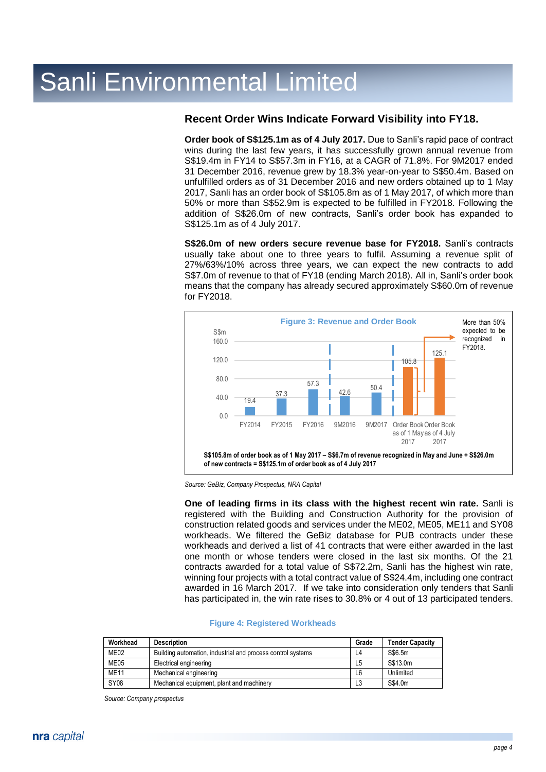### **Recent Order Wins Indicate Forward Visibility into FY18.**

**Order book of S\$125.1m as of 4 July 2017.** Due to Sanli's rapid pace of contract wins during the last few years, it has successfully grown annual revenue from S\$19.4m in FY14 to S\$57.3m in FY16, at a CAGR of 71.8%. For 9M2017 ended 31 December 2016, revenue grew by 18.3% year-on-year to S\$50.4m. Based on unfulfilled orders as of 31 December 2016 and new orders obtained up to 1 May 2017, Sanli has an order book of S\$105.8m as of 1 May 2017, of which more than 50% or more than S\$52.9m is expected to be fulfilled in FY2018. Following the addition of S\$26.0m of new contracts, Sanli's order book has expanded to S\$125.1m as of 4 July 2017.

**S\$26.0m of new orders secure revenue base for FY2018.** Sanli's contracts usually take about one to three years to fulfil. Assuming a revenue split of 27%/63%/10% across three years, we can expect the new contracts to add S\$7.0m of revenue to that of FY18 (ending March 2018). All in, Sanli's order book means that the company has already secured approximately S\$60.0m of revenue for FY2018.



*Source: GeBiz, Company Prospectus, NRA Capital*

**One of leading firms in its class with the highest recent win rate.** Sanli is registered with the Building and Construction Authority for the provision of construction related goods and services under the ME02, ME05, ME11 and SY08 workheads. We filtered the GeBiz database for PUB contracts under these workheads and derived a list of 41 contracts that were either awarded in the last one month or whose tenders were closed in the last six months. Of the 21 contracts awarded for a total value of S\$72.2m, Sanli has the highest win rate, winning four projects with a total contract value of S\$24.4m, including one contract awarded in 16 March 2017. If we take into consideration only tenders that Sanli has participated in, the win rate rises to 30.8% or 4 out of 13 participated tenders.

#### **Figure 4: Registered Workheads**

| Workhead         | <b>Description</b>                                          | Grade | <b>Tender Capacity</b> |
|------------------|-------------------------------------------------------------|-------|------------------------|
| ME <sub>02</sub> | Building automation, industrial and process control systems | L4    | S\$6.5m                |
| ME05             | Electrical engineering                                      | L5    | S\$13.0m               |
| <b>ME11</b>      | Mechanical engineering                                      | L6    | Unlimited              |
| <b>SY08</b>      | Mechanical equipment, plant and machinery                   | L3    | S\$4.0m                |

*Source: Company prospectus*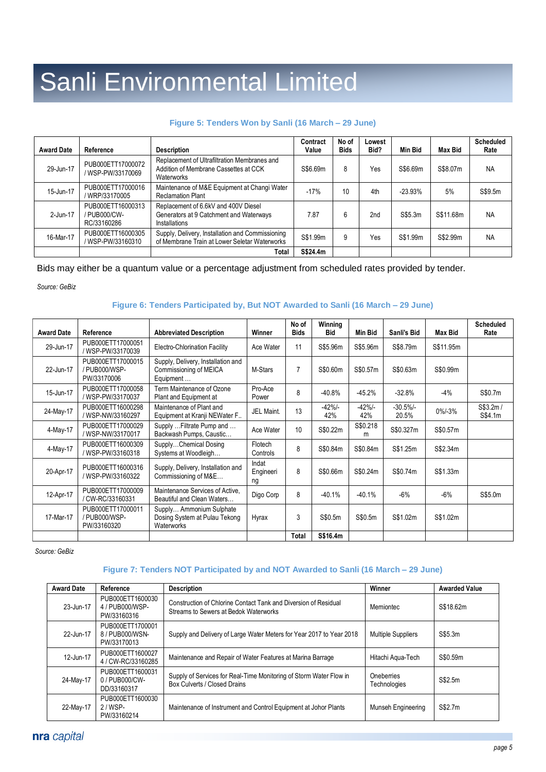#### **Figure 5: Tenders Won by Sanli (16 March – 29 June)**

| <b>Award Date</b> | Reference                                        | <b>Description</b>                                                                                  | Contract<br>Value | No of<br><b>Bids</b> | Lowest<br>Bid? | Min Bid   | <b>Max Bid</b> | <b>Scheduled</b><br>Rate |
|-------------------|--------------------------------------------------|-----------------------------------------------------------------------------------------------------|-------------------|----------------------|----------------|-----------|----------------|--------------------------|
| 29-Jun-17         | PUB000ETT17000072<br>/ WSP-PW/33170069           | Replacement of Ultrafiltration Membranes and<br>Addition of Membrane Cassettes at CCK<br>Waterworks | S\$6.69m          | 8                    | Yes            | S\$6.69m  | S\$8.07m       | <b>NA</b>                |
| 15-Jun-17         | PUB000ETT17000016<br>WRP/33170005                | Maintenance of M&E Equipment at Changi Water<br><b>Reclamation Plant</b>                            | $-17%$            | 10                   | 4th            | $-23.93%$ | 5%             | S\$9.5m                  |
| 2-Jun-17          | PUB000ETT16000313<br>/ PUB000/CW-<br>RC/33160286 | Replacement of 6.6kV and 400V Diesel<br>Generators at 9 Catchment and Waterways<br>Installations    | 7.87              | 6                    | 2nd            | S\$5.3m   | S\$11.68m      | <b>NA</b>                |
| 16-Mar-17         | PUB000ETT16000305<br>/ WSP-PW/33160310           | Supply, Delivery, Installation and Commissioning<br>of Membrane Train at Lower Seletar Waterworks   | S\$1.99m          | 9                    | Yes            | S\$1.99m  | S\$2.99m       | <b>NA</b>                |
|                   |                                                  | Total                                                                                               | S\$24.4m          |                      |                |           |                |                          |

Bids may either be a quantum value or a percentage adjustment from scheduled rates provided by tender.

*Source: GeBiz*

#### **Figure 6: Tenders Participated by, But NOT Awarded to Sanli (16 March – 29 June)**

| <b>Award Date</b> | Reference                                         | <b>Abbreviated Description</b>                                            | Winner                   | No of<br><b>Bids</b> | Winning<br>Bid | Min Bid       | Sanli's Bid       | Max Bid     | <b>Scheduled</b><br>Rate |
|-------------------|---------------------------------------------------|---------------------------------------------------------------------------|--------------------------|----------------------|----------------|---------------|-------------------|-------------|--------------------------|
| 29-Jun-17         | PUB000ETT17000051<br>/ WSP-PW/33170039            | <b>Electro-Chlorination Facility</b>                                      | Ace Water                | 11                   | S\$5.96m       | S\$5.96m      | S\$8.79m          | S\$11.95m   |                          |
| 22-Jun-17         | PUB000ETT17000015<br>/ PUB000/WSP-<br>PW/33170006 | Supply, Delivery, Installation and<br>Commissioning of MEICA<br>Equipment | M-Stars                  | $\overline{7}$       | S\$0.60m       | S\$0.57m      | S\$0.63m          | S\$0.99m    |                          |
| 15-Jun-17         | PUB000ETT17000058<br>/ WSP-PW/33170037            | Term Maintenance of Ozone<br>Plant and Equipment at                       | Pro-Ace<br>Power         | 8                    | $-40.8%$       | $-45.2%$      | $-32.8%$          | -4%         | S\$0.7m                  |
| 24-May-17         | PUB000ETT16000298<br>/ WSP-NW/33160297            | Maintenance of Plant and<br>Equipment at Kranji NEWater F                 | JEL Maint.               | 13                   | $-42%$<br>42%  | $-42%$<br>42% | $-30.5%$<br>20.5% | $0\% - 3\%$ | S\$3.2m/<br>S\$4.1m      |
| 4-May-17          | PUB000ETT17000029<br>/ WSP-NW/33170017            | Supply  Filtrate Pump and<br>Backwash Pumps, Caustic                      | Ace Water                | 10                   | S\$0.22m       | S\$0.218<br>m | S\$0.327m         | S\$0.57m    |                          |
| 4-May-17          | PUB000ETT16000309<br>/ WSP-PW/33160318            | SupplyChemical Dosing<br>Systems at Woodleigh                             | Flotech<br>Controls      | 8                    | S\$0.84m       | S\$0.84m      | S\$1.25m          | S\$2.34m    |                          |
| 20-Apr-17         | PUB000ETT16000316<br>/ WSP-PW/33160322            | Supply, Delivery, Installation and<br>Commissioning of M&E                | Indat<br>Engineeri<br>ng | 8                    | S\$0.66m       | S\$0.24m      | S\$0.74m          | S\$1.33m    |                          |
| 12-Apr-17         | PUB000ETT17000009<br>/ CW-RC/33160331             | Maintenance Services of Active.<br>Beautiful and Clean Waters             | Digo Corp                | 8                    | $-40.1%$       | $-40.1%$      | $-6%$             | $-6%$       | S\$5.0m                  |
| 17-Mar-17         | PUB000ETT17000011<br>/ PUB000/WSP-<br>PW/33160320 | Supply Ammonium Sulphate<br>Dosing System at Pulau Tekong<br>Waterworks   | Hyrax                    | 3                    | S\$0.5m        | S\$0.5m       | S\$1.02m          | S\$1.02m    |                          |
|                   |                                                   |                                                                           |                          | Total                | S\$16.4m       |               |                   |             |                          |

*Source: GeBiz*

#### **Figure 7: Tenders NOT Participated by and NOT Awarded to Sanli (16 March – 29 June)**

| <b>Award Date</b> | Reference                                          | <b>Description</b>                                                                                       | Winner                     | <b>Awarded Value</b> |
|-------------------|----------------------------------------------------|----------------------------------------------------------------------------------------------------------|----------------------------|----------------------|
| 23-Jun-17         | PUB000ETT1600030<br>4 / PUB000/WSP-<br>PW/33160316 | Construction of Chlorine Contact Tank and Diversion of Residual<br>Streams to Sewers at Bedok Waterworks | Memiontec                  | S\$18.62m            |
| 22-Jun-17         | PUB000ETT1700001<br>8/PUB000/WSN-<br>PW/33170013   | Supply and Delivery of Large Water Meters for Year 2017 to Year 2018                                     | <b>Multiple Suppliers</b>  | S\$5.3m              |
| 12-Jun-17         | PUB000ETT1600027<br>4 / CW-RC/33160285             | Maintenance and Repair of Water Features at Marina Barrage                                               | Hitachi Agua-Tech          | S\$0.59m             |
| 24-May-17         | PUB000ETT1600031<br>0/PUB000/CW-<br>DD/33160317    | Supply of Services for Real-Time Monitoring of Storm Water Flow in<br>Box Culverts / Closed Drains       | Oneberries<br>Technologies | S\$2.5m              |
| 22-May-17         | PUB000ETT1600030<br>$2 / WSP-$<br>PW/33160214      | Maintenance of Instrument and Control Equipment at Johor Plants                                          | Munseh Engineering         | S\$2.7m              |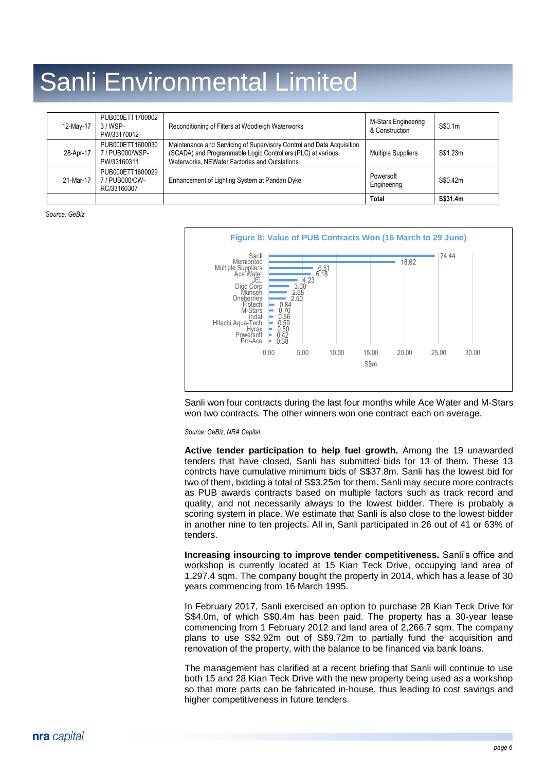| 12-May-17 | PUB000ETT1700002<br>$3 / WSP-$<br>PW/33170012    | Reconditioning of Filters at Woodleigh Waterworks                                                                                                                                     | M-Stars Engineering<br>& Construction | S\$0.1m  |
|-----------|--------------------------------------------------|---------------------------------------------------------------------------------------------------------------------------------------------------------------------------------------|---------------------------------------|----------|
| 28-Apr-17 | PUB000ETT1600030<br>7/PUB000/WSP-<br>PW/33160311 | Maintenance and Servicing of Supervisory Control and Data Acquisition<br>(SCADA) and Programmable Logic Controllers (PLC) at various<br>Waterworks, NEWater Factories and Outstations | <b>Multiple Suppliers</b>             | S\$1.23m |
| 21-Mar-17 | PUB000ETT1600029<br>7/PUB000/CW-<br>RC/33160307  | Enhancement of Lighting System at Pandan Dyke                                                                                                                                         | Powersoft<br>Engineering              | S\$0.42m |
|           |                                                  |                                                                                                                                                                                       | <b>Total</b>                          | S\$31.4m |

*Source: GeBiz*



Sanli won four contracts during the last four months while Ace Water and M-Stars won two contracts. The other winners won one contract each on average.

*Source: GeBiz, NRA Capital*

**Active tender participation to help fuel growth.** Among the 19 unawarded tenders that have closed, Sanli has submitted bids for 13 of them. These 13 contrcts have cumulative minimum bids of S\$37.8m. Sanli has the lowest bid for two of them, bidding a total of S\$3.25m for them. Sanli may secure more contracts as PUB awards contracts based on multiple factors such as track record and quality, and not necessarily always to the lowest bidder. There is probably a scoring system in place. We estimate that Sanli is also close to the lowest bidder in another nine to ten projects. All in, Sanli participated in 26 out of 41 or 63% of tenders.

**Increasing insourcing to improve tender competitiveness.** Sanli's office and workshop is currently located at 15 Kian Teck Drive, occupying land area of 1,297.4 sqm. The company bought the property in 2014, which has a lease of 30 years commencing from 16 March 1995.

In February 2017, Sanli exercised an option to purchase 28 Kian Teck Drive for S\$4.0m, of which S\$0.4m has been paid. The property has a 30-year lease commencing from 1 February 2012 and land area of 2,266.7 sqm. The company plans to use S\$2.92m out of S\$9.72m to partially fund the acquisition and renovation of the property, with the balance to be financed via bank loans.

The management has clarified at a recent briefing that Sanli will continue to use both 15 and 28 Kian Teck Drive with the new property being used as a workshop so that more parts can be fabricated in-house, thus leading to cost savings and higher competitiveness in future tenders.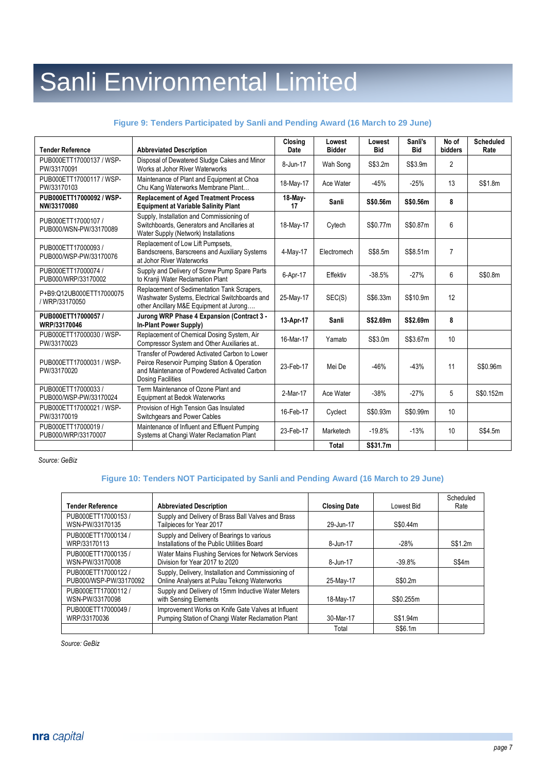#### **Figure 9: Tenders Participated by Sanli and Pending Award (16 March to 29 June)**

| <b>Tender Reference</b>                       | <b>Abbreviated Description</b>                                                                                                                                             | Closina<br>Date | Lowest<br><b>Bidder</b> | Lowest<br><b>Bid</b> | Sanli's<br><b>Bid</b> | No of<br>bidders | <b>Scheduled</b><br>Rate |
|-----------------------------------------------|----------------------------------------------------------------------------------------------------------------------------------------------------------------------------|-----------------|-------------------------|----------------------|-----------------------|------------------|--------------------------|
| PUB000ETT17000137 / WSP-<br>PW/33170091       | Disposal of Dewatered Sludge Cakes and Minor<br>Works at Johor River Waterworks                                                                                            | 8-Jun-17        | Wah Song                | S\$3.2m              | S\$3.9m               | $\overline{2}$   |                          |
| PUB000ETT17000117 / WSP-<br>PW/33170103       | Maintenance of Plant and Equipment at Choa<br>Chu Kang Waterworks Membrane Plant                                                                                           | 18-May-17       | Ace Water               | $-45%$               | $-25%$                | 13               | S\$1.8m                  |
| PUB000ETT17000092 / WSP-<br>NW/33170080       | <b>Replacement of Aged Treatment Process</b><br><b>Equipment at Variable Salinity Plant</b>                                                                                | 18-May-<br>17   | Sanli                   | S\$0.56m             | S\$0.56m              | 8                |                          |
| PUB000ETT17000107 /<br>PUB000/WSN-PW/33170089 | Supply, Installation and Commissioning of<br>Switchboards. Generators and Ancillaries at<br>Water Supply (Network) Installations                                           | 18-May-17       | Cytech                  | S\$0.77m             | S\$0.87m              | 6                |                          |
| PUB000ETT17000093 /<br>PUB000/WSP-PW/33170076 | Replacement of Low Lift Pumpsets,<br>Bandscreens, Barscreens and Auxiliary Systems<br>at Johor River Waterworks                                                            | $4-May-17$      | Electromech             | S\$8.5m              | S\$8.51m              | $\overline{7}$   |                          |
| PUB000ETT17000074 /<br>PUB000/WRP/33170002    | Supply and Delivery of Screw Pump Spare Parts<br>to Kranji Water Reclamation Plant                                                                                         | 6-Apr-17        | Effektiv                | $-38.5%$             | $-27%$                | 6                | S\$0.8m                  |
| P+B9:Q12UB000ETT17000075<br>/ WRP/33170050    | Replacement of Sedimentation Tank Scrapers,<br>Washwater Systems, Electrical Switchboards and<br>other Ancillary M&E Equipment at Jurong                                   | 25-May-17       | SEC(S)                  | S\$6.33m             | S\$10.9m              | 12               |                          |
| PUB000ETT17000057 /<br>WRP/33170046           | Jurong WRP Phase 4 Expansion (Contract 3 -<br>In-Plant Power Supply)                                                                                                       | 13-Apr-17       | Sanli                   | S\$2.69m             | S\$2.69m              | 8                |                          |
| PUB000ETT17000030 / WSP-<br>PW/33170023       | Replacement of Chemical Dosing System, Air<br>Compressor System and Other Auxiliaries at                                                                                   | 16-Mar-17       | Yamato                  | S\$3.0m              | S\$3.67m              | 10               |                          |
| PUB000ETT17000031 / WSP-<br>PW/33170020       | Transfer of Powdered Activated Carbon to Lower<br>Peirce Reservoir Pumping Station & Operation<br>and Maintenance of Powdered Activated Carbon<br><b>Dosing Facilities</b> | 23-Feb-17       | Mei De                  | $-46%$               | $-43%$                | 11               | S\$0.96m                 |
| PUB000ETT17000033 /<br>PUB000/WSP-PW/33170024 | Term Maintenance of Ozone Plant and<br>Equipment at Bedok Waterworks                                                                                                       | 2-Mar-17        | Ace Water               | $-38%$               | $-27%$                | 5                | S\$0.152m                |
| PUB000ETT17000021 / WSP-<br>PW/33170019       | Provision of High Tension Gas Insulated<br>Switchgears and Power Cables                                                                                                    | 16-Feb-17       | Cyclect                 | S\$0.93m             | S\$0.99m              | 10               |                          |
| PUB000ETT17000019 /<br>PUB000/WRP/33170007    | Maintenance of Influent and Effluent Pumping<br>Systems at Changi Water Reclamation Plant                                                                                  | 23-Feb-17       | Marketech               | $-19.8%$             | $-13%$                | 10               | S\$4.5m                  |
|                                               |                                                                                                                                                                            |                 | Total                   | S\$31.7m             |                       |                  |                          |

*Source: GeBiz*

#### **Figure 10: Tenders NOT Participated by Sanli and Pending Award (16 March to 29 June)**

| <b>Tender Reference</b>                     | <b>Abbreviated Description</b>                                                                          | <b>Closing Date</b> | Lowest Bid | Scheduled<br>Rate |
|---------------------------------------------|---------------------------------------------------------------------------------------------------------|---------------------|------------|-------------------|
| PUB000ETT17000153 /<br>WSN-PW/33170135      | Supply and Delivery of Brass Ball Valves and Brass<br>Tailpieces for Year 2017                          | 29-Jun-17           | S\$0.44m   |                   |
| PUB000ETT17000134 /<br>WRP/33170113         | Supply and Delivery of Bearings to various<br>Installations of the Public Utilities Board               | 8-Jun-17            | $-28%$     | S\$1.2m           |
| PUB000ETT17000135 /<br>WSN-PW/33170008      | Water Mains Flushing Services for Network Services<br>Division for Year 2017 to 2020                    | 8-Jun-17            | $-39.8%$   | S\$4m             |
| PUB000ETT17000122<br>PUB000/WSP-PW/33170092 | Supply, Delivery, Installation and Commissioning of<br>Online Analysers at Pulau Tekong Waterworks      | 25-May-17           | S\$0.2m    |                   |
| PUB000ETT17000112 /<br>WSN-PW/33170098      | Supply and Delivery of 15mm Inductive Water Meters<br>with Sensing Elements                             | 18-May-17           | S\$0.255m  |                   |
| PUB000ETT17000049<br>WRP/33170036           | Improvement Works on Knife Gate Valves at Influent<br>Pumping Station of Changi Water Reclamation Plant | 30-Mar-17           | S\$1.94m   |                   |
|                                             |                                                                                                         | Total               | S\$6.1m    |                   |

*Source: GeBiz*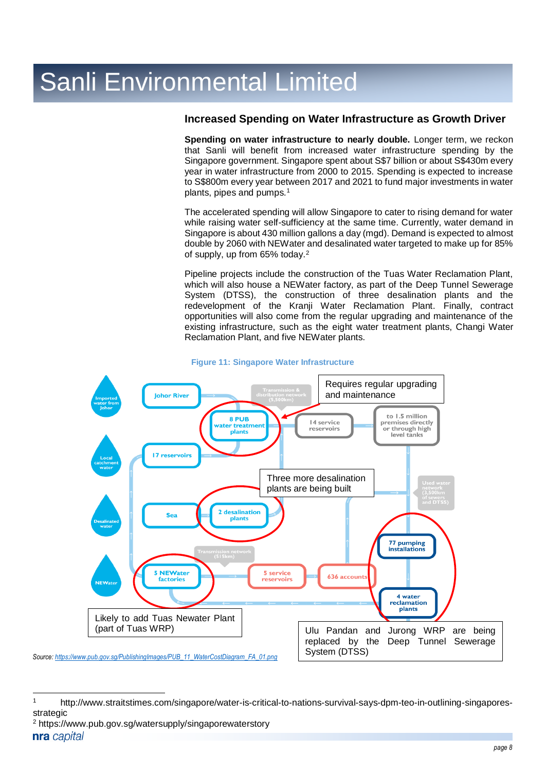### **Increased Spending on Water Infrastructure as Growth Driver**

**Spending on water infrastructure to nearly double.** Longer term, we reckon that Sanli will benefit from increased water infrastructure spending by the Singapore government. Singapore spent about S\$7 billion or about S\$430m every year in water infrastructure from 2000 to 2015. Spending is expected to increase to S\$800m every year between 2017 and 2021 to fund major investments in water plants, pipes and pumps.<sup>1</sup>

The accelerated spending will allow Singapore to cater to rising demand for water while raising water self-sufficiency at the same time. Currently, water demand in Singapore is about 430 million gallons a day (mgd). Demand is expected to almost double by 2060 with NEWater and desalinated water targeted to make up for 85% of supply, up from 65% today.<sup>2</sup>

Pipeline projects include the construction of the Tuas Water Reclamation Plant, which will also house a NEWater factory, as part of the Deep Tunnel Sewerage System (DTSS), the construction of three desalination plants and the redevelopment of the Kranji Water Reclamation Plant. Finally, contract opportunities will also come from the regular upgrading and maintenance of the existing infrastructure, such as the eight water treatment plants, Changi Water Reclamation Plant, and five NEWater plants.



#### **Figure 11: Singapore Water Infrastructure**

 $\overline{a}$ 

<sup>1</sup> http://www.straitstimes.com/singapore/water-is-critical-to-nations-survival-says-dpm-teo-in-outlining-singaporesstrategic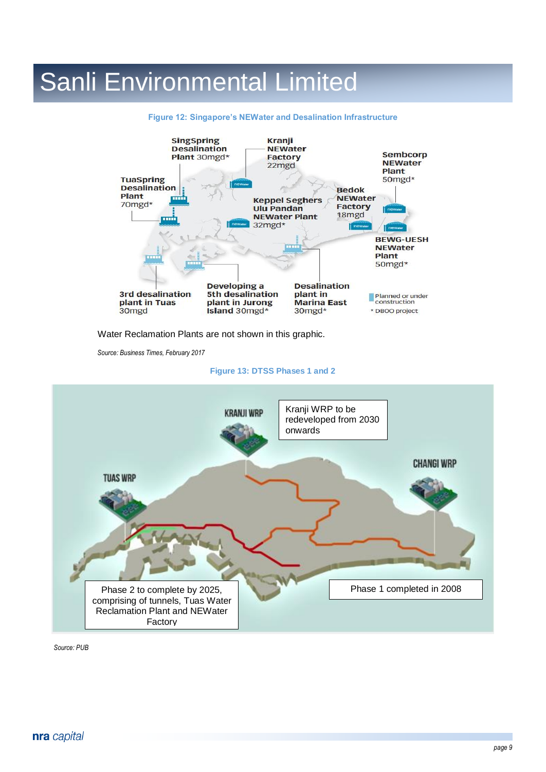

#### **Figure 12: Singapore's NEWater and Desalination Infrastructure**

Water Reclamation Plants are not shown in this graphic.

*Source: Business Times, February 2017*

#### **Figure 13: DTSS Phases 1 and 2**



*Source: PUB*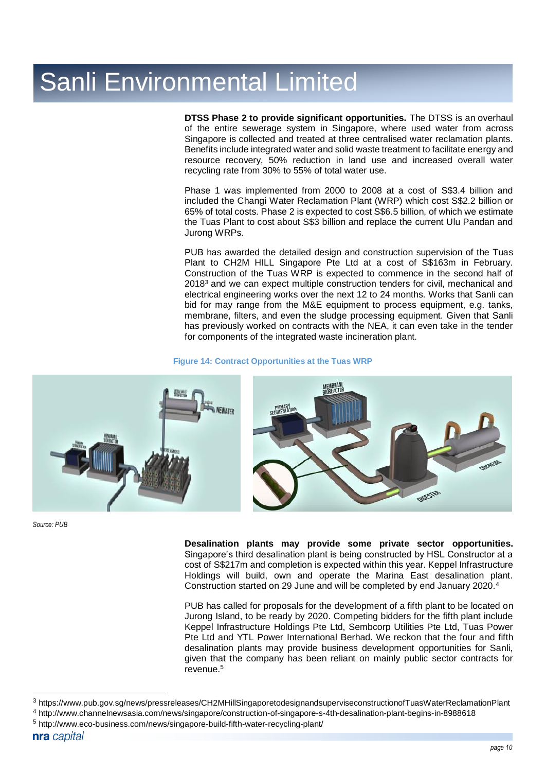**DTSS Phase 2 to provide significant opportunities.** The DTSS is an overhaul of the entire sewerage system in Singapore, where used water from across Singapore is collected and treated at three centralised water reclamation plants. Benefits include integrated water and solid waste treatment to facilitate energy and resource recovery, 50% reduction in land use and increased overall water recycling rate from 30% to 55% of total water use.

Phase 1 was implemented from 2000 to 2008 at a cost of S\$3.4 billion and included the Changi Water Reclamation Plant (WRP) which cost S\$2.2 billion or 65% of total costs. Phase 2 is expected to cost S\$6.5 billion, of which we estimate the Tuas Plant to cost about S\$3 billion and replace the current Ulu Pandan and Jurong WRPs.

PUB has awarded the detailed design and construction supervision of the Tuas Plant to CH2M HILL Singapore Pte Ltd at a cost of S\$163m in February. Construction of the Tuas WRP is expected to commence in the second half of 2018<sup>3</sup> and we can expect multiple construction tenders for civil, mechanical and electrical engineering works over the next 12 to 24 months. Works that Sanli can bid for may range from the M&E equipment to process equipment, e.g. tanks, membrane, filters, and even the sludge processing equipment. Given that Sanli has previously worked on contracts with the NEA, it can even take in the tender for components of the integrated waste incineration plant.

#### **Figure 14: Contract Opportunities at the Tuas WRP**



*Source: PUB*

**Desalination plants may provide some private sector opportunities.**  Singapore's third desalination plant is being constructed by HSL Constructor at a cost of S\$217m and completion is expected within this year. Keppel Infrastructure Holdings will build, own and operate the Marina East desalination plant. Construction started on 29 June and will be completed by end January 2020.<sup>4</sup>

PUB has called for proposals for the development of a fifth plant to be located on Jurong Island, to be ready by 2020. Competing bidders for the fifth plant include Keppel Infrastructure Holdings Pte Ltd, Sembcorp Utilities Pte Ltd, Tuas Power Pte Ltd and YTL Power International Berhad. We reckon that the four and fifth desalination plants may provide business development opportunities for Sanli, given that the company has been reliant on mainly public sector contracts for revenue.<sup>5</sup>

 $\overline{a}$ 

<sup>3</sup> https://www.pub.gov.sg/news/pressreleases/CH2MHillSingaporetodesignandsuperviseconstructionofTuasWaterReclamationPlant

<sup>4</sup> http://www.channelnewsasia.com/news/singapore/construction-of-singapore-s-4th-desalination-plant-begins-in-8988618

<sup>5</sup> http://www.eco-business.com/news/singapore-build-fifth-water-recycling-plant/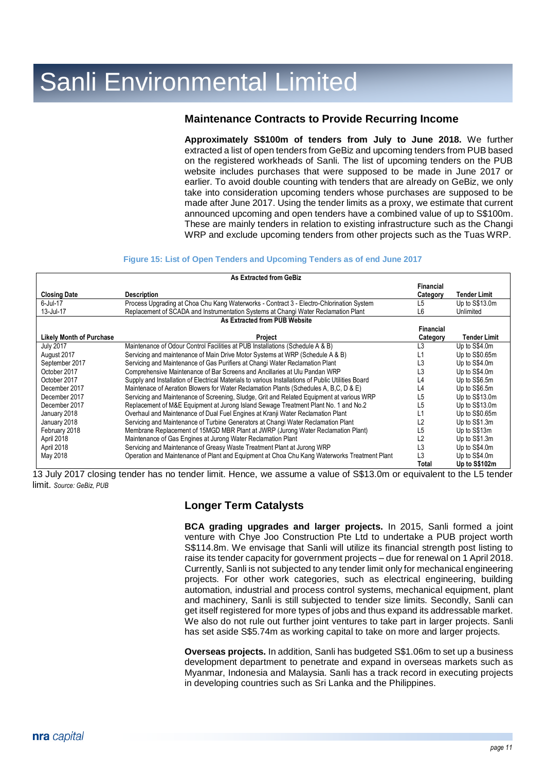### **Maintenance Contracts to Provide Recurring Income**

**Approximately S\$100m of tenders from July to June 2018.** We further extracted a list of open tenders from GeBiz and upcoming tenders from PUB based on the registered workheads of Sanli. The list of upcoming tenders on the PUB website includes purchases that were supposed to be made in June 2017 or earlier. To avoid double counting with tenders that are already on GeBiz, we only take into consideration upcoming tenders whose purchases are supposed to be made after June 2017. Using the tender limits as a proxy, we estimate that current announced upcoming and open tenders have a combined value of up to S\$100m. These are mainly tenders in relation to existing infrastructure such as the Changi WRP and exclude upcoming tenders from other projects such as the Tuas WRP.

#### **Figure 15: List of Open Tenders and Upcoming Tenders as of end June 2017**

| As Extracted from GeBiz         |                                                                                                    |                 |                     |  |
|---------------------------------|----------------------------------------------------------------------------------------------------|-----------------|---------------------|--|
|                                 |                                                                                                    | Financial       |                     |  |
| <b>Closing Date</b>             | <b>Description</b>                                                                                 | <b>Category</b> | <b>Tender Limit</b> |  |
| 6-Jul-17                        | Process Upgrading at Choa Chu Kang Waterworks - Contract 3 - Electro-Chlorination System           | L5              | Up to S\$13.0m      |  |
| 13-Jul-17                       | Replacement of SCADA and Instrumentation Systems at Changi Water Reclamation Plant                 | L6              | Unlimited           |  |
|                                 | As Extracted from PUB Website                                                                      |                 |                     |  |
|                                 |                                                                                                    | Financial       |                     |  |
| <b>Likely Month of Purchase</b> | Project                                                                                            | Category        | Tender Limit        |  |
| <b>July 2017</b>                | Maintenance of Odour Control Facilities at PUB Installations (Schedule A & B)                      | L <sub>3</sub>  | Up to S\$4.0m       |  |
| August 2017                     | Servicing and maintenance of Main Drive Motor Systems at WRP (Schedule A & B)                      | L1              | Up to $S$0.65m$     |  |
| September 2017                  | Servicing and Maintenance of Gas Purifiers at Changi Water Reclamation Plant                       | L3              | Up to S\$4.0m       |  |
| October 2017                    | Comprehensive Maintenance of Bar Screens and Ancillaries at Ulu Pandan WRP                         | L3              | Up to S\$4.0m       |  |
| October 2017                    | Supply and Installation of Electrical Materials to various Installations of Public Utilities Board | L4              | Up to S\$6.5m       |  |
| December 2017                   | Maintenace of Aeration Blowers for Water Reclamation Plants (Schedules A, B,C, D & E)              | L4              | Up to S\$6.5m       |  |
| December 2017                   | Servicing and Maintenance of Screening, Sludge, Grit and Related Equipment at various WRP          | L5              | Up to S\$13.0m      |  |
| December 2017                   | Replacement of M&E Equipment at Jurong Island Sewage Treatment Plant No. 1 and No.2                | L5              | Up to S\$13.0m      |  |
| January 2018                    | Overhaul and Maintenance of Dual Fuel Engines at Kranji Water Reclamation Plant                    | L1              | Up to S\$0.65m      |  |
| January 2018                    | Servicing and Maintenance of Turbine Generators at Changi Water Reclamation Plant                  | L <sub>2</sub>  | Up to S\$1.3m       |  |
| February 2018                   | Membrane Replacement of 15MGD MBR Plant at JWRP (Jurong Water Reclamation Plant)                   | L5              | Up to S\$13m        |  |
| April 2018                      | Maintenance of Gas Engines at Jurong Water Reclamation Plant                                       | L2              | Up to S\$1.3m       |  |
| April 2018                      | Servicing and Maintenance of Greasy Waste Treatment Plant at Jurong WRP                            | L3              | Up to S\$4.0m       |  |
| May 2018                        | Operation and Maintenance of Plant and Equipment at Choa Chu Kang Waterworks Treatment Plant       | L3              | Up to S\$4.0m       |  |
|                                 |                                                                                                    | Total           | Up to S\$102m       |  |

13 July 2017 closing tender has no tender limit. Hence, we assume a value of S\$13.0m or equivalent to the L5 tender limit. *Source: GeBiz, PUB*

## **Longer Term Catalysts**

**BCA grading upgrades and larger projects.** In 2015, Sanli formed a joint venture with Chye Joo Construction Pte Ltd to undertake a PUB project worth S\$114.8m. We envisage that Sanli will utilize its financial strength post listing to raise its tender capacity for government projects – due for renewal on 1 April 2018. Currently, Sanli is not subjected to any tender limit only for mechanical engineering projects. For other work categories, such as electrical engineering, building automation, industrial and process control systems, mechanical equipment, plant and machinery, Sanli is still subjected to tender size limits. Secondly, Sanli can get itself registered for more types of jobs and thus expand its addressable market. We also do not rule out further joint ventures to take part in larger projects. Sanli has set aside S\$5.74m as working capital to take on more and larger projects.

**Overseas projects.** In addition, Sanli has budgeted S\$1.06m to set up a business development department to penetrate and expand in overseas markets such as Myanmar, Indonesia and Malaysia. Sanli has a track record in executing projects in developing countries such as Sri Lanka and the Philippines.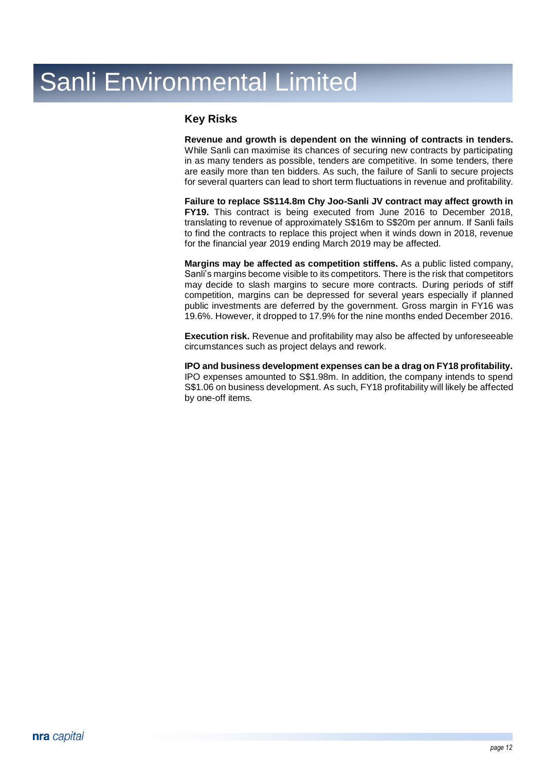### **Key Risks**

**Revenue and growth is dependent on the winning of contracts in tenders.**  While Sanli can maximise its chances of securing new contracts by participating in as many tenders as possible, tenders are competitive. In some tenders, there are easily more than ten bidders. As such, the failure of Sanli to secure projects for several quarters can lead to short term fluctuations in revenue and profitability.

**Failure to replace S\$114.8m Chy Joo-Sanli JV contract may affect growth in FY19.** This contract is being executed from June 2016 to December 2018, translating to revenue of approximately S\$16m to S\$20m per annum. If Sanli fails to find the contracts to replace this project when it winds down in 2018, revenue for the financial year 2019 ending March 2019 may be affected.

**Margins may be affected as competition stiffens.** As a public listed company, Sanli's margins become visible to its competitors. There is the risk that competitors may decide to slash margins to secure more contracts. During periods of stiff competition, margins can be depressed for several years especially if planned public investments are deferred by the government. Gross margin in FY16 was 19.6%. However, it dropped to 17.9% for the nine months ended December 2016.

**Execution risk.** Revenue and profitability may also be affected by unforeseeable circumstances such as project delays and rework.

**IPO and business development expenses can be a drag on FY18 profitability.** IPO expenses amounted to S\$1.98m. In addition, the company intends to spend S\$1.06 on business development. As such, FY18 profitability will likely be affected by one-off items.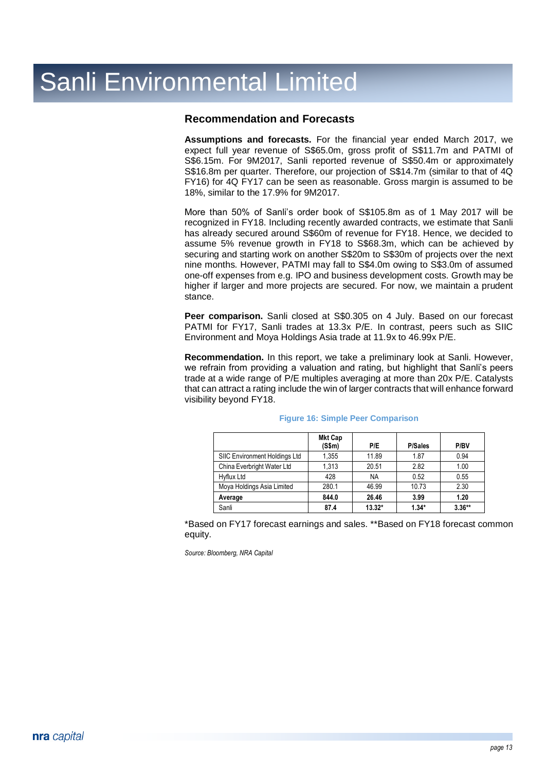### **Recommendation and Forecasts**

**Assumptions and forecasts.** For the financial year ended March 2017, we expect full year revenue of S\$65.0m, gross profit of S\$11.7m and PATMI of S\$6.15m. For 9M2017, Sanli reported revenue of S\$50.4m or approximately S\$16.8m per quarter. Therefore, our projection of S\$14.7m (similar to that of 4Q FY16) for 4Q FY17 can be seen as reasonable. Gross margin is assumed to be 18%, similar to the 17.9% for 9M2017.

More than 50% of Sanli's order book of S\$105.8m as of 1 May 2017 will be recognized in FY18. Including recently awarded contracts, we estimate that Sanli has already secured around S\$60m of revenue for FY18. Hence, we decided to assume 5% revenue growth in FY18 to S\$68.3m, which can be achieved by securing and starting work on another S\$20m to S\$30m of projects over the next nine months. However, PATMI may fall to S\$4.0m owing to S\$3.0m of assumed one-off expenses from e.g. IPO and business development costs. Growth may be higher if larger and more projects are secured. For now, we maintain a prudent stance.

**Peer comparison.** Sanli closed at S\$0.305 on 4 July. Based on our forecast PATMI for FY17, Sanli trades at 13.3x P/E. In contrast, peers such as SIIC Environment and Moya Holdings Asia trade at 11.9x to 46.99x P/E.

**Recommendation.** In this report, we take a preliminary look at Sanli. However, we refrain from providing a valuation and rating, but highlight that Sanli's peers trade at a wide range of P/E multiples averaging at more than 20x P/E. Catalysts that can attract a rating include the win of larger contracts that will enhance forward visibility beyond FY18.

|                               | <b>Mkt Cap</b><br>(S\$m) | P/E       | <b>P/Sales</b> | P/BV     |
|-------------------------------|--------------------------|-----------|----------------|----------|
| SIIC Environment Holdings Ltd | 1,355                    | 11.89     | 1.87           | 0.94     |
| China Everbright Water Ltd    | 1.313                    | 20.51     | 2.82           | 1.00     |
| Hyflux Ltd                    | 428                      | <b>NA</b> | 0.52           | 0.55     |
| Moya Holdings Asia Limited    | 280.1                    | 46.99     | 10.73          | 2.30     |
| Average                       | 844.0                    | 26.46     | 3.99           | 1.20     |
| Sanli                         | 87.4                     | $13.32*$  | $1.34*$        | $3.36**$ |

#### **Figure 16: Simple Peer Comparison**

\*Based on FY17 forecast earnings and sales. \*\*Based on FY18 forecast common equity.

*Source: Bloomberg, NRA Capital*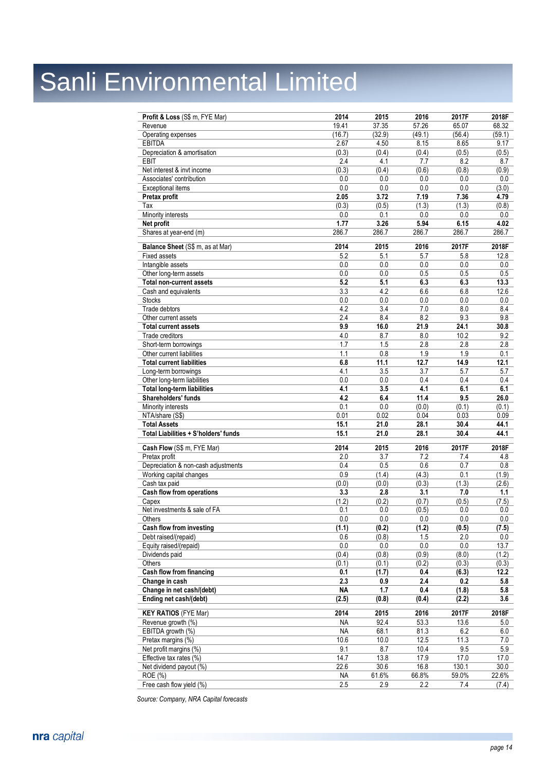| Profit & Loss (S\$ m, FYE Mar)       | 2014      | 2015    | 2016    | 2017F  | 2018F   |
|--------------------------------------|-----------|---------|---------|--------|---------|
| Revenue                              | 19.41     | 37.35   | 57.26   | 65.07  | 68.32   |
| Operating expenses                   | (16.7)    | (32.9)  | (49.1)  | (56.4) | (59.1)  |
| <b>EBITDA</b>                        | 2.67      | 4.50    | 8.15    | 8.65   | 9.17    |
| Depreciation & amortisation          | (0.3)     | (0.4)   | (0.4)   | (0.5)  | (0.5)   |
| <b>EBIT</b>                          | 2.4       | 4.1     | 7.7     | 8.2    | 8.7     |
| Net interest & invt income           | (0.3)     | (0.4)   | (0.6)   | (0.8)  | (0.9)   |
| Associates' contribution             | 0.0       | 0.0     | 0.0     | 0.0    | 0.0     |
| <b>Exceptional items</b>             | 0.0       | 0.0     | 0.0     | 0.0    | (3.0)   |
| Pretax profit                        | 2.05      | 3.72    | 7.19    | 7.36   | 4.79    |
| Tax                                  | (0.3)     | (0.5)   | (1.3)   | (1.3)  | (0.8)   |
| Minority interests                   | 0.0       | 0.1     | 0.0     | 0.0    | 0.0     |
| Net profit                           | 1.77      | 3.26    | 5.94    | 6.15   | 4.02    |
| Shares at year-end (m)               | 286.7     | 286.7   | 286.7   | 286.7  | 286.7   |
|                                      |           |         |         |        |         |
| Balance Sheet (S\$ m, as at Mar)     | 2014      | 2015    | 2016    | 2017F  | 2018F   |
| <b>Fixed assets</b>                  | 5.2       | 5.1     | 5.7     | 5.8    | 12.8    |
| Intangible assets                    | 0.0       | 0.0     | 0.0     | 0.0    | 0.0     |
| Other long-term assets               | 0.0       | 0.0     | 0.5     | 0.5    | 0.5     |
| <b>Total non-current assets</b>      | 5.2       | 5.1     | 6.3     | 6.3    | 13.3    |
| Cash and equivalents                 | 3.3       | 4.2     | 6.6     | 6.8    | 12.6    |
| <b>Stocks</b>                        | 0.0       | 0.0     | 0.0     | 0.0    | 0.0     |
| Trade debtors                        | 4.2       | 3.4     | 7.0     | 8.0    | 8.4     |
| Other current assets                 | 2.4       | 8.4     | 8.2     | 9.3    | 9.8     |
| <b>Total current assets</b>          | 9.9       | 16.0    | 21.9    | 24.1   | 30.8    |
| Trade creditors                      | 4.0       | 8.7     | 8.0     | 10.2   | 9.2     |
| Short-term borrowings                | 1.7       | 1.5     | 2.8     | 2.8    | 2.8     |
| Other current liabilities            | 1.1       | 0.8     | 1.9     | 1.9    | 0.1     |
| <b>Total current liabilities</b>     | 6.8       | 11.1    | 12.7    | 14.9   | 12.1    |
| Long-term borrowings                 | 4.1       | 3.5     | 3.7     | 5.7    | 5.7     |
| Other long-term liabilities          | 0.0       | 0.0     | 0.4     | 0.4    | 0.4     |
| <b>Total long-term liabilities</b>   | 4.1       | 3.5     | 4.1     | 6.1    | 6.1     |
| Shareholders' funds                  | 4.2       | 6.4     | 11.4    | 9.5    | 26.0    |
| Minority interests                   | 0.1       | 0.0     | (0.0)   | (0.1)  | (0.1)   |
| NTA/share (S\$)                      | 0.01      | 0.02    | 0.04    | 0.03   | 0.09    |
| <b>Total Assets</b>                  | 15.1      | 21.0    | 28.1    | 30.4   | 44.1    |
| Total Liabilities + S'holders' funds | 15.1      | 21.0    | 28.1    | 30.4   | 44.1    |
|                                      |           |         |         |        |         |
| Cash Flow (S\$ m, FYE Mar)           | 2014      | 2015    | 2016    | 2017F  | 2018F   |
| Pretax profit                        | 2.0       | 3.7     | 7.2     | 7.4    | 4.8     |
| Depreciation & non-cash adjustments  | 0.4       | 0.5     | 0.6     | 0.7    | 0.8     |
| Working capital changes              | 0.9       | (1.4)   | (4.3)   | 0.1    | (1.9)   |
| Cash tax paid                        | (0.0)     | (0.0)   | (0.3)   | (1.3)  | (2.6)   |
| <b>Cash flow from operations</b>     | 3.3       | 2.8     | 3.1     | 7.0    | 1.1     |
| Capex                                | (1.2)     | (0.2)   | (0.7)   | (0.5)  | (7.5)   |
| Net investments & sale of FA         | 0.1       | 0.0     | (0.5)   | 0.0    | 0.0     |
| Others                               | 0.0       | 0.0     | $0.0\,$ | 0.0    | $0.0$   |
| Cash flow from investing             | (1.1)     | (0.2)   | (1.2)   | (0.5)  | (7.5)   |
| Debt raised/(repaid)                 | 0.6       | (0.8)   | 1.5     | 2.0    | $0.0\,$ |
| Equity raised/(repaid)               | $0.0\,$   | $0.0\,$ | $0.0\,$ | 0.0    | 13.7    |
| Dividends paid                       | (0.4)     | (0.8)   | (0.9)   | (8.0)  | (1.2)   |
| Others                               | (0.1)     | (0.1)   | (0.2)   | (0.3)  | (0.3)   |
| <b>Cash flow from financing</b>      | 0.1       | (1.7)   | 0.4     | (6.3)  | 12.2    |
| Change in cash                       | 2.3       | 0.9     | 2.4     | 0.2    | 5.8     |
| Change in net cash/(debt)            | <b>NA</b> | 1.7     | 0.4     | (1.8)  | 5.8     |
| Ending net cash/(debt)               | (2.5)     | (0.8)   | (0.4)   | (2.2)  | 3.6     |
|                                      |           |         |         |        |         |
| <b>KEY RATIOS (FYE Mar)</b>          | 2014      | 2015    | 2016    | 2017F  | 2018F   |
| Revenue growth (%)                   | ΝA        | 92.4    | 53.3    | 13.6   | 5.0     |
| EBITDA growth (%)                    | <b>NA</b> | 68.1    | 81.3    | 6.2    | 6.0     |
| Pretax margins (%)                   | 10.6      | 10.0    | 12.5    | 11.3   | 7.0     |
| Net profit margins (%)               | 9.1       | 8.7     | 10.4    | 9.5    | 5.9     |
| Effective tax rates (%)              | 14.7      | 13.8    | 17.9    | 17.0   | 17.0    |
| Net dividend payout (%)              |           |         |         |        |         |
|                                      | 22.6      | 30.6    | 16.8    | 130.1  | 30.0    |
| ROE (%)<br>Free cash flow yield (%)  | NA<br>2.5 | 61.6%   | 66.8%   | 59.0%  | 22.6%   |

*Source: Company, NRA Capital forecasts*